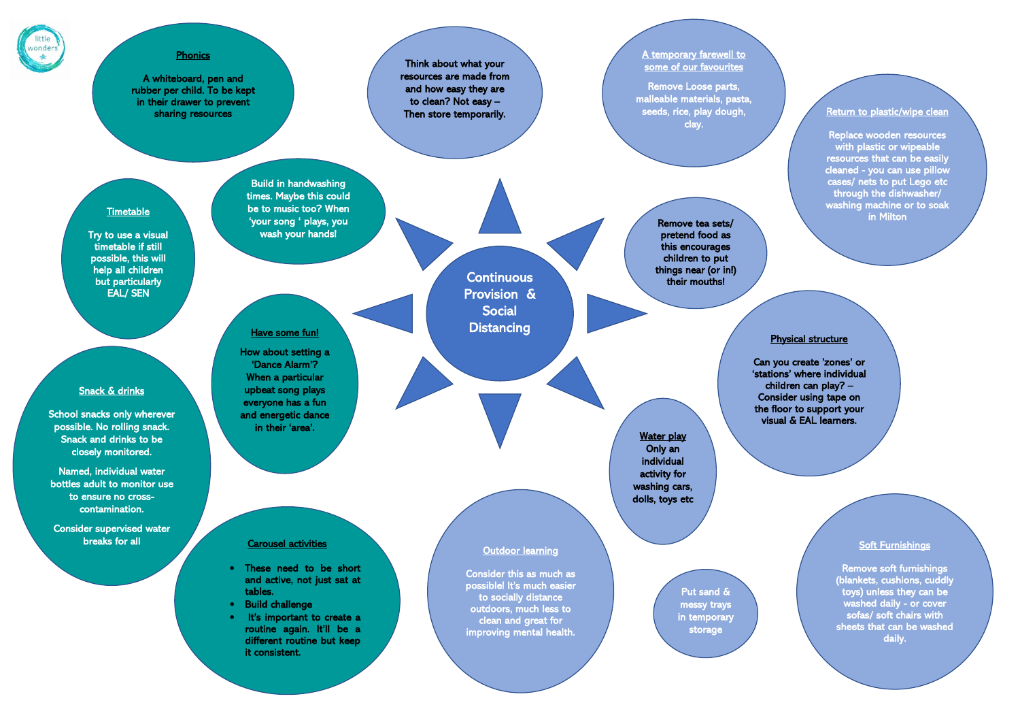

## **Phonics**

Think about what your resources are made from and how easy they are to clean? Not easy – Then store temporarily.

## A temporary farewell to some of our favourites

Remove Loose parts, malleable materials, pasta, seeds, rice, play dough, clay.

## **Timetable**

Put sand & messy trays in temporary storage

# Have some fun!

Water play Only an individual activity for washing cars, dolls, toys etc

Replace wooden resources with plastic or wipeable resources that can be easily cleaned - you can use pillow cases/ nets to put Lego etc through the dishwasher/ washing machine or to soak in Milton

### Soft Furnishings

Remove soft furnishings (blankets, cushions, cuddly toys) unless they can be washed daily - or cover sofas/ soft chairs with sheets that can be washed daily.

Remove tea sets/ pretend food as this encourages children to put things near (or in!) their mouths!

## Physical structure

Can you create 'zones' or 'stations' where individual children can play? – Consider using tape on the floor to support your visual & EAL learners.

Try to use a visual timetable if still possible, this will help all children but particularly EAL/ SEN

Build in handwashing times. Maybe this could be to music too? When 'your song ' plays, you wash your hands!

> **Continuous** Provision & Social **Distancing**

How about setting a 'Dance Alarm'? When a particular upbeat song plays everyone has a fun and energetic dance in their 'area'.

# Return to plastic/wipe clean

## Outdoor learning

Consider this as much as possible! It's much easier to socially distance outdoors, much less to clean and great for improving mental health.

## Carousel activities

- These need to be short and active, not just sat at tables.
- Build challenge
- It's important to create a routine again. It'll be a different routine but keep it consistent.

A whiteboard, pen and rubber per child. To be kept in their drawer to prevent sharing resources

## Snack & drinks

School snacks only wherever possible. No rolling snack. Snack and drinks to be closely monitored.

Named, individual water bottles adult to monitor use to ensure no crosscontamination.

Consider supervised water breaks for all